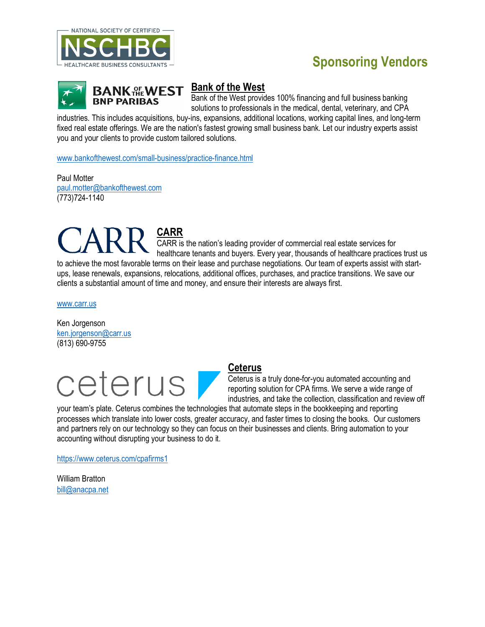

## **Sponsoring Vendors**



### **Bank of the West**

Bank of the West provides 100% financing and full business banking solutions to professionals in the medical, dental, veterinary, and CPA

industries. This includes acquisitions, buy-ins, expansions, additional locations, working capital lines, and long-term fixed real estate offerings. We are the nation's fastest growing small business bank. Let our industry experts assist you and your clients to provide custom tailored solutions.

[www.bankofthewest.com/small-business/practice-finance.html](http://www.bankofthewest.com/small-business/practice-finance.html) 

Paul Motter [paul.motter@bankofthewest.com](mailto:paul.motter@bankofthewest.com)  (773)724-1140

**CARR** CARR is the nation's leading provider of commercial real estate services for healthcare tenants and buyers. Every year, thousands of healthcare practices trust us to achieve the most favorable terms on their lease and purchase negotiations. Our team of experts assist with startups, lease renewals, expansions, relocations, additional offices, purchases, and practice transitions. We save our clients a substantial amount of time and money, and ensure their interests are always first.

[www.carr.us](http://www.carr.us/) 

Ken Jorgenson [ken.jorgenson@carr.us](mailto:ken.jorgenson@carr.us)  (813) 690-9755



### **Ceterus**

Ceterus is a truly done-for-you automated accounting and reporting solution for CPA firms. We serve a wide range of industries, and take the collection, classification and review off

your team's plate. Ceterus combines the technologies that automate steps in the bookkeeping and reporting processes which translate into lower costs, greater accuracy, and faster times to closing the books. Our customers and partners rely on our technology so they can focus on their businesses and clients. Bring automation to your accounting without disrupting your business to do it.

<https://www.ceterus.com/cpafirms1>

William Bratton [bill@anacpa.net](mailto:bill@anacpa.net)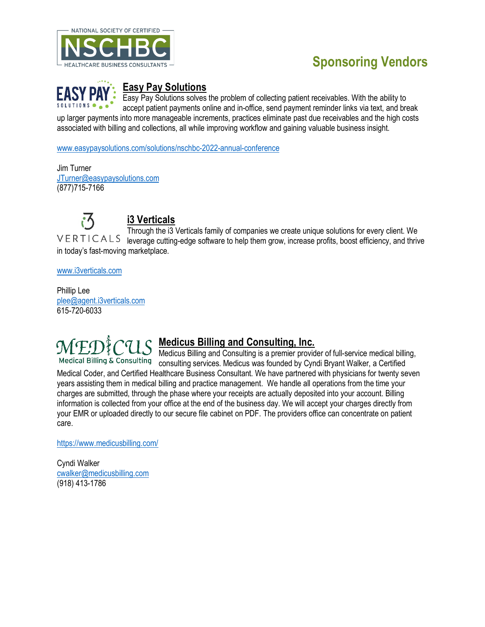

# **Sponsoring Vendors**



### **Easy Pay Solutions**

Easy Pay Solutions solves the problem of collecting patient receivables. With the ability to accept patient payments online and in-office, send payment reminder links via text, and break up larger payments into more manageable increments, practices eliminate past due receivables and the high costs associated with billing and collections, all while improving workflow and gaining valuable business insight.

[www.easypaysolutions.com/solutions/nschbc-2022-annual-conference](http://www.easypaysolutions.com/solutions/nschbc-2022-annual-conference)

Jim Turner [JTurner@easypaysolutions.com](mailto:JTurner@easypaysolutions.com) (877)715-7166



[www.i3verticals.com](http://www.i3verticals.com/)

Phillip Lee [plee@agent.i3verticals.com](mailto:plee@agent.i3verticals.com) 615-720-6033

## **Medicus Billing and Consulting, Inc.**

Medicus Billing and Consulting is a premier provider of full-service medical billing, consulting services. Medicus was founded by Cyndi Bryant Walker, a Certified Medical Coder, and Certified Healthcare Business Consultant. We have partnered with physicians for twenty seven years assisting them in medical billing and practice management. We handle all operations from the time your charges are submitted, through the phase where your receipts are actually deposited into your account. Billing information is collected from your office at the end of the business day. We will accept your charges directly from your EMR or uploaded directly to our secure file cabinet on PDF. The providers office can concentrate on patient care.

<https://www.medicusbilling.com/>

Cyndi Walker [cwalker@medicusbilling.com](mailto:cwalker@medicusbilling.com)  (918) 413-1786